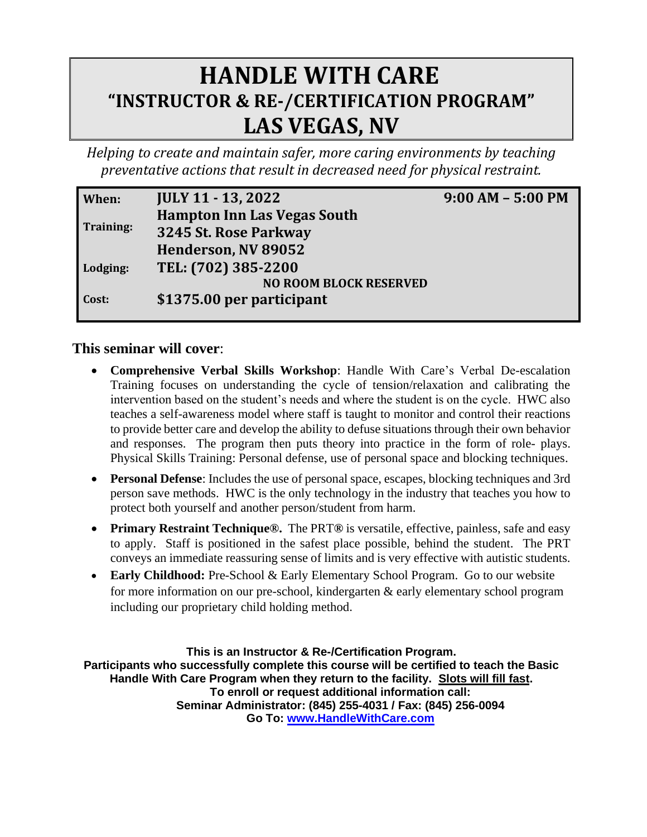## **HANDLE WITH CARE "INSTRUCTOR & RE-/CERTIFICATION PROGRAM" LAS VEGAS, NV**

*Helping to create and maintain safer, more caring environments by teaching preventative actions that result in decreased need for physical restraint.* 

| When:     | <b>JULY 11 - 13, 2022</b>          | $9:00 AM - 5:00 PM$ |
|-----------|------------------------------------|---------------------|
| Training: | <b>Hampton Inn Las Vegas South</b> |                     |
|           | 3245 St. Rose Parkway              |                     |
|           | Henderson, NV 89052                |                     |
| Lodging:  | TEL: (702) 385-2200                |                     |
|           | <b>NO ROOM BLOCK RESERVED</b>      |                     |
| Cost:     | \$1375.00 per participant          |                     |
|           |                                    |                     |

## **This seminar will cover**:

- **Comprehensive Verbal Skills Workshop**: Handle With Care's Verbal De-escalation Training focuses on understanding the cycle of tension/relaxation and calibrating the intervention based on the student's needs and where the student is on the cycle. HWC also teaches a self-awareness model where staff is taught to monitor and control their reactions to provide better care and develop the ability to defuse situations through their own behavior and responses. The program then puts theory into practice in the form of role- plays. Physical Skills Training: Personal defense, use of personal space and blocking techniques.
- **Personal Defense**: Includes the use of personal space, escapes, blocking techniques and 3rd person save methods. HWC is the only technology in the industry that teaches you how to protect both yourself and another person/student from harm.
- **Primary Restraint Technique®.** The PRT**®** is versatile, effective, painless, safe and easy to apply. Staff is positioned in the safest place possible, behind the student. The PRT conveys an immediate reassuring sense of limits and is very effective with autistic students.
- **Early Childhood:** Pre-School & Early Elementary School Program. Go to our website for more information on our pre-school, kindergarten & early elementary school program including our proprietary child holding method.

**This is an Instructor & Re-/Certification Program. Participants who successfully complete this course will be certified to teach the Basic Handle With Care Program when they return to the facility. Slots will fill fast. To enroll or request additional information call: Seminar Administrator: (845) 255-4031 / Fax: (845) 256-0094 Go To: [www.HandleWithCare.com](http://www.handlewithcare.com/)**